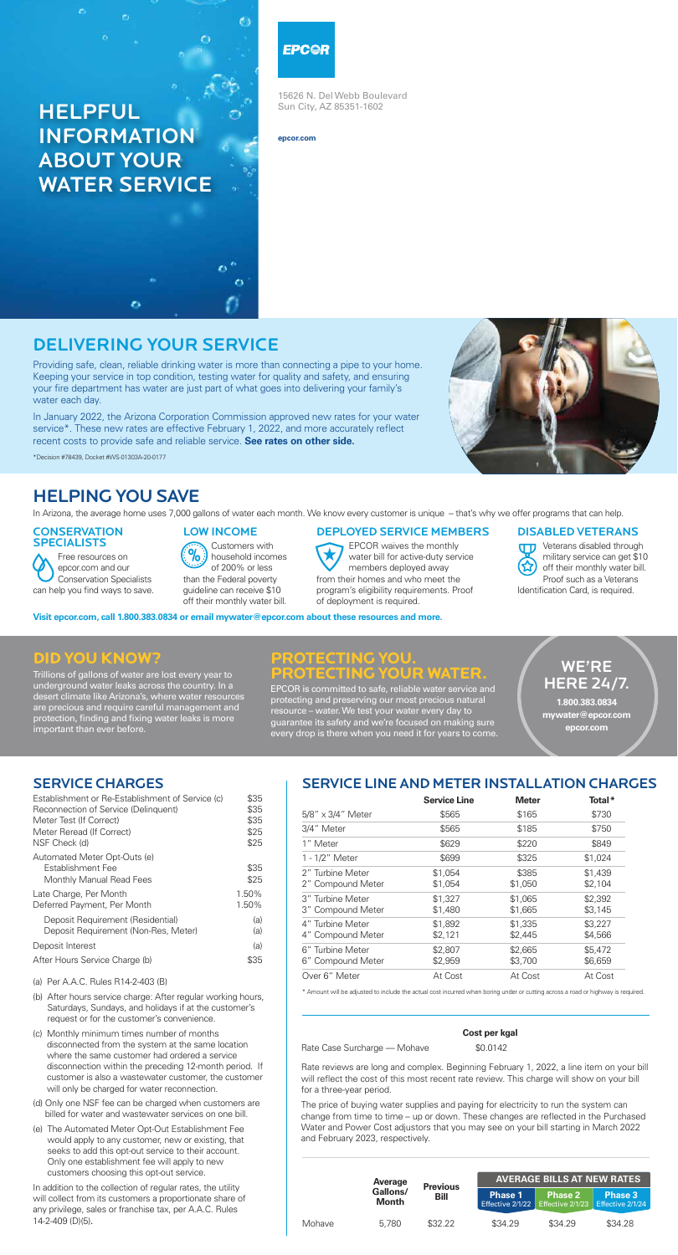# DELIVERING YOUR SERVICE

Providing safe, clean, reliable drinking water is more than connecting a pipe to your home. Keeping your service in top condition, testing water for quality and safety, and ensuring your fire department has water are just part of what goes into delivering your family's water each day.

In January 2022, the Arizona Corporation Commission approved new rates for your water service\*. These new rates are effective February 1, 2022, and more accurately reflect recent costs to provide safe and reliable service. **See rates on other side.**

#### **CONSERVATION** SPECIALISTS

\*Decision #78439, Docket #WS-01303A-20-0177

15626 N. Del Webb Boulevard Sun City, AZ 85351-1602

**epcor.com**

# HELPFUL INFORMATION ABOUT YOUR WATER SERVICE

### EPC@R

### HELPING YOU SAVE

In Arizona, the average home uses 7,000 gallons of water each month. We know every customer is unique – that's why we offer programs that can help.

**TTD** Veterans disabled through military service can get \$10 off their monthly water bill. Proof such as a Veterans Identification Card, is required.

**Visit epcor.com, call 1.800.383.0834 or email mywater@epcor.com about these resources and more.**

Free resources on epcor.com and our Conservation Specialists can help you find ways to save.

#### LOW INCOME

Customers with household incomes of 200% or less than the Federal poverty guideline can receive \$10 off their monthly water bill.

#### DEPLOYED SERVICE MEMBERS

EPCOR waives the monthly water bill for active-duty service members deployed away from their homes and who meet the program's eligibility requirements. Proof of deployment is required.

#### DISABLED VETERANS

### **Did You Know?**

Trillions of gallons of water are lost every year to underground water leaks across the country. In a desert climate like Arizona's, where water resources are precious and require careful management and protection, finding and fixing water leaks is more important than ever before.

### **PROTECTING YOU. PROTECTING YOUR WATER.**

EPCOR is committed to safe, reliable water service and protecting and preserving our most precious natural resource – water. We test your water every day to guarantee its safety and we're focused on making sure every drop is there when you need it for years to come.

### WE'RE HERE 24/7.

**1.800.383.0834 mywater@epcor.com epcor.com**

|                              | Cost per kgal |
|------------------------------|---------------|
| Rate Case Surcharge — Mohave | \$0.0142      |

Rate reviews are long and complex. Beginning February 1, 2022, a line item on your bill will reflect the cost of this most recent rate review. This charge will show on your bill for a three-year period.

The price of buying water supplies and paying for electricity to run the system can change from time to time – up or down. These changes are reflected in the Purchased Water and Power Cost adjustors that you may see on your bill starting in March 2022 and February 2023, respectively.

|                          | <b>Average</b> | <b>Previous</b>                      | <b>AVERAGE BILLS AT NEW RATES</b> |                                                         |         |  |  |
|--------------------------|----------------|--------------------------------------|-----------------------------------|---------------------------------------------------------|---------|--|--|
| Gallons/<br><b>Month</b> | Bill           | <b>Phase 1</b><br>Effective $2/1/22$ | <b>Phase 2</b>                    | <b>Phase 3</b><br>Effective $2/1/23$ Effective $2/1/24$ |         |  |  |
| Mohave                   | 5.780          | \$32.22                              | \$34.29                           | \$34.29                                                 | \$34.28 |  |  |

### SERVICE CHARGES

| Establishment or Re-Establishment of Service (c) | \$35 |
|--------------------------------------------------|------|
| Reconnection of Service (Delinguent)             | \$35 |
| Meter Test (If Correct)                          | \$35 |

| Meter Reread (If Correct)<br>NSF Check (d)                                    | \$25<br>\$25   |
|-------------------------------------------------------------------------------|----------------|
| Automated Meter Opt-Outs (e)<br>Establishment Fee<br>Monthly Manual Read Fees | \$35<br>\$25   |
| Late Charge, Per Month<br>Deferred Payment, Per Month                         | 1.50%<br>1.50% |
| Deposit Requirement (Residential)<br>Deposit Requirement (Non-Res, Meter)     | (a)<br>(a)     |
| Deposit Interest                                                              | (a)            |
| After Hours Service Charge (b)                                                | \$35           |
|                                                                               |                |

(a) Per A.A.C. Rules R14-2-403 (B)

- (b) After hours service charge: After regular working hours, Saturdays, Sundays, and holidays if at the customer's request or for the customer's convenience.
- (c) Monthly minimum times number of months disconnected from the system at the same location where the same customer had ordered a service disconnection within the preceding 12-month period. If customer is also a wastewater customer, the customer will only be charged for water reconnection.
- (d) Only one NSF fee can be charged when customers are billed for water and wastewater services on one bill.
- (e) The Automated Meter Opt-Out Establishment Fee would apply to any customer, new or existing, that seeks to add this opt-out service to their account. Only one establishment fee will apply to new customers choosing this opt-out service.

In addition to the collection of regular rates, the utility will collect from its customers a proportionate share of any privilege, sales or franchise tax, per A.A.C. Rules 14-2-409 (D)(5).

## SERVICE LINE AND METER INSTALLATION CHARGES

|                                       | <b>Service Line</b> | <b>Meter</b>       | Total*             |
|---------------------------------------|---------------------|--------------------|--------------------|
| $5/8$ " x 3/4" Meter                  | \$565               | \$165              | \$730              |
| 3/4" Meter                            | \$565               | \$185              | \$750              |
| 1" Meter                              | \$629               | \$220              | \$849              |
| 1 - 1/2" Meter                        | \$699               | \$325              | \$1,024            |
| 2" Turbine Meter<br>2" Compound Meter | \$1,054<br>\$1,054  | \$385<br>\$1,050   | \$1,439<br>\$2,104 |
| 3" Turbine Meter<br>3" Compound Meter | \$1,327<br>\$1,480  | \$1,065<br>\$1,665 | \$2,392<br>\$3,145 |
| 4" Turbine Meter<br>4" Compound Meter | \$1,892<br>\$2,121  | \$1,335<br>\$2,445 | \$3,227<br>\$4,566 |
| 6" Turbine Meter<br>6" Compound Meter | \$2,807<br>\$2,959  | \$2,665<br>\$3,700 | \$5,472<br>\$6,659 |
| Over 6" Meter                         | At Cost             | At Cost            | At Cost            |



\* Amount will be adjusted to include the actual cost incurred when boring under or cutting across a road or highway is required.